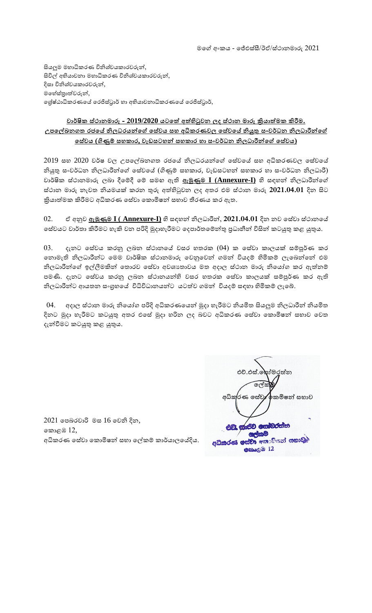සියලුම මහාධිකරණ විනිශ්චයකාරවරුන්, සිවිල් අභියාචනා මහාධිකරණ විනිශ්චයකාරවරුන්, දිසා විනිශ්චයකාරවරුන්, මහේස්තාත්වරුන්, ලේෂ්ඨාධිකරණයේ රෙජිස්ටුාර් හා අභියාචනාධිකරණයේ රෙජිස්ටුාර්,

## <u>වාර්ෂික ස්ථානමාරු - 2019/2020 යටතේ අත්හිටුවන ලද ස්ථාන මාරු කියාත්මක කිරීම.</u> **උපතේඛනගත රජතේ නිලධරයන්තේ තසේවය සහ අධිකරණවල තසේවතේ නියුතු සංවර්ධන නිලධාීන්තේ තසේවය (ගිණුම් සහකාර, වැඩසටහන් සහකාර හා සංවර්ධන නිලධාීන්තේ තසේවය)**

 $2019$  සහ  $2020$  වර්ෂ වල උපලේඛනගත රජයේ නිලධරයන්ගේ සේවයේ සහ අධිකරණවල සේවයේ නියුතු සංවර්ධන නිලධාරීන්ගේ සේවයේ (ගිණුම් සහකාර, වැඩසටහන් සහකාර හා සංවර්ධන නිලධාරී) වාර් හෂික ස්ථානමාරු ලබා දීගම්දී ගම් සමඟ ඇති **ඇමුණුම I (Annexure-I)** හි සඳහන් නිලධාරීන්ගේ ස්ථාන මාරු නැවත නියමයක් කරන තුරු අත්වරහිටුවන ලද අතර එම ස්ථාන මාරු **2021.04.01** දින සිට ක්රිනයාත්වරමක කිරීමට අධිකරණ ගසේවා ගකොමිෂ්ඨන් සභාව තීරණය කර ඇත.

## 02. ඒ අනුව **ඇමුණුම I ( Annexure-I)** හි සඳහන් නිලධාරීන්, **2021.04.01** දින නව ගසේවා ස්ථානගර භේවයට වාර්තා කිරීමට හැකි වන පරිදි මුදාහැරීමට දෙපාර්තමේන්තු පුධානීන් විසින් කටයුතු කළ යුතුය.

 $03.$  දැනට සේවය කරනු ලබන ස්ථානයේ වසර හතරක  $(04)$  ක සේවා කාලයක් සම්පූර්ණ කර ගනාමැති නිලධාරීන්ට මෙම වාර්ෂික ස්ථානමාරු වෙනුවෙන් ගමන් වියදම් හිමිකම් ලැබෙන්නේ එම නිලධාරීන්ගේ ඉල්ලීමකින් තොරව සේවා අවශානාවය මත අදාල ස්ථාන මාරු නියෝග කර ඇත්නම් පමණි. දැනට සේවය කරනු ලබන ස්ථානයන්හි වසර හතරක සේවා කාලයක් සම්පුර්ණ කර ඇති නිලධාරීන්ට ආයතන සංගුහයේ විධිවිධානයන්ට යටත්ව ගමන් වියදම් සඳහා හිමිකම් ලැබේ.

04. අදාල ස්ථාන මාරු නිගයෝග පරිදි අධිකරණගයන් මුදා හැරීමට නියමිත සියලුම නිලධාරීන් නියමිත දිනට මුදා හැරීමට කටයුතු අතර එසේ මුදා හරින ලද බවට අධිකරණ සේවා කොමිෂන් සභාව වෙත දැන්වීමට කටයුතු කළ යුතුය.

2021 ගපබරවාරි මස 16 ගවනි දින, ගකො ඹ 12, අධිකරණ සේවා කොමිෂන් සභා ලේකම් කාර්යාලයේදිය.

 එච්.එස්.ගසෝමරත්වරන  $\sqrt{a^2\pi}$ රණ සේවැ⁄ අකමිෂන් සභාව ජ්වා කොවිනෝ සභාව අධිකරණ **OBAC B** 12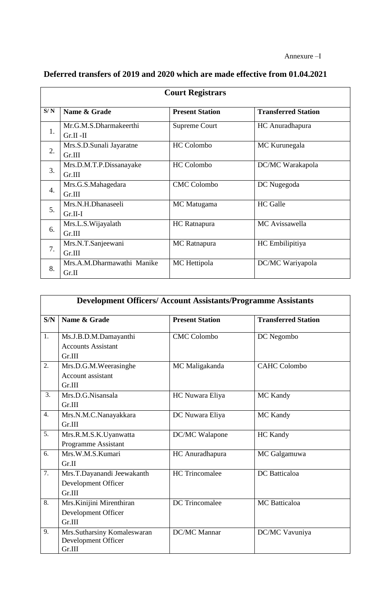| <b>Court Registrars</b> |                            |                        |                            |
|-------------------------|----------------------------|------------------------|----------------------------|
| S/N                     | Name & Grade               | <b>Present Station</b> | <b>Transferred Station</b> |
|                         | Mr.G.M.S.Dharmakeerthi     | Supreme Court          | HC Anuradhapura            |
| 1.                      | $Gr.II - II$               |                        |                            |
|                         | Mrs.S.D.Sunali Jayaratne   | HC Colombo             | MC Kurunegala              |
| 2.                      | Gr.III                     |                        |                            |
| 3.                      | Mrs.D.M.T.P.Dissanayake    | <b>HC</b> Colombo      | DC/MC Warakapola           |
|                         | Gr.III                     |                        |                            |
|                         | Mrs.G.S.Mahagedara         | <b>CMC</b> Colombo     | DC Nugegoda                |
| 4.                      | Gr.III                     |                        |                            |
| 5.                      | Mrs.N.H.Dhanaseeli         | MC Matugama            | <b>HC</b> Galle            |
|                         | $Gr.II-I$                  |                        |                            |
| 6.                      | Mrs.L.S. Wijayalath        | HC Ratnapura           | MC Avissawella             |
|                         | Gr.III                     |                        |                            |
| 7.                      | Mrs.N.T.Sanjeewani         | MC Ratnapura           | HC Embilipitiya            |
|                         | Gr.III                     |                        |                            |
| 8.                      | Mrs.A.M.Dharmawathi Manike | MC Hettipola           | DC/MC Wariyapola           |
|                         | Gr.II                      |                        |                            |

## **Deferred transfers of 2019 and 2020 which are made effective from 01.04.2021**

| <b>Development Officers/ Account Assistants/Programme Assistants</b> |                                                              |                        |                            |
|----------------------------------------------------------------------|--------------------------------------------------------------|------------------------|----------------------------|
| S/N                                                                  | Name & Grade                                                 | <b>Present Station</b> | <b>Transferred Station</b> |
| 1.                                                                   | Ms.J.B.D.M.Damayanthi<br><b>Accounts Assistant</b><br>Gr.III | <b>CMC Colombo</b>     | DC Negombo                 |
| 2.                                                                   | Mrs.D.G.M.Weerasinghe<br>Account assistant<br>Gr.III         | MC Maligakanda         | <b>CAHC Colombo</b>        |
| 3.                                                                   | Mrs.D.G.Nisansala<br>Gr.III                                  | HC Nuwara Eliya        | MC Kandy                   |
| $\overline{4}$ .                                                     | Mrs.N.M.C.Nanayakkara<br>Gr.III                              | DC Nuwara Eliya        | MC Kandy                   |
| 5.                                                                   | Mrs.R.M.S.K.Uyanwatta<br>Programme Assistant                 | DC/MC Walapone         | HC Kandy                   |
| 6.                                                                   | Mrs.W.M.S.Kumari<br>Gr.II                                    | HC Anuradhapura        | MC Galgamuwa               |
| 7.                                                                   | Mrs.T.Dayanandi Jeewakanth<br>Development Officer<br>Gr.III  | <b>HC</b> Trincomalee  | <b>DC</b> Batticaloa       |
| 8.                                                                   | Mrs. Kinijini Mirenthiran<br>Development Officer<br>Gr.III   | <b>DC</b> Trincomalee  | <b>MC</b> Batticaloa       |
| 9.                                                                   | Mrs.Sutharsiny Komaleswaran<br>Development Officer<br>Gr.III | <b>DC/MC</b> Mannar    | DC/MC Vavuniya             |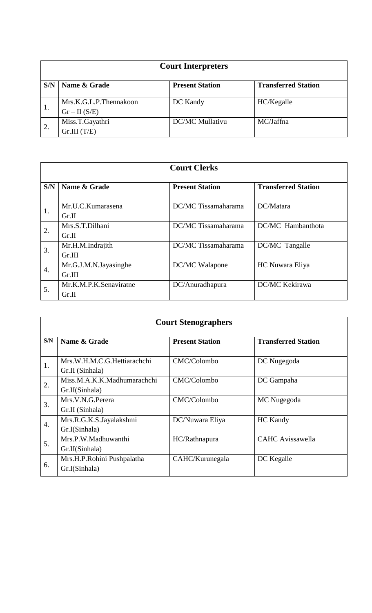| <b>Court Interpreters</b> |                                          |                        |                            |
|---------------------------|------------------------------------------|------------------------|----------------------------|
| S/N                       | Name & Grade                             | <b>Present Station</b> | <b>Transferred Station</b> |
| 1.                        | Mrs.K.G.L.P.Thennakoon<br>$Gr - II(S/E)$ | DC Kandy               | HC/Kegalle                 |
| 2.                        | Miss.T.Gayathri<br>Gr.III(T/E)           | <b>DC/MC Mullativu</b> | MC/Jaffna                  |

| <b>Court Clerks</b> |                                 |                        |                            |
|---------------------|---------------------------------|------------------------|----------------------------|
| S/N                 | Name & Grade                    | <b>Present Station</b> | <b>Transferred Station</b> |
| 1.                  | Mr.U.C.Kumarasena<br>Gr.II      | DC/MC Tissamaharama    | DC/Matara                  |
| 2.                  | Mrs.S.T.Dilhani<br>Gr.II        | DC/MC Tissamaharama    | DC/MC Hambanthota          |
| 3.                  | Mr.H.M.Indrajith<br>Gr.III      | DC/MC Tissamaharama    | DC/MC Tangalle             |
| 4.                  | Mr.G.J.M.N.Jayasinghe<br>Gr.III | DC/MC Walapone         | HC Nuwara Eliya            |
| 5.                  | Mr.K.M.P.K.Senaviratne<br>Gr.II | DC/Anuradhapura        | <b>DC/MC Kekirawa</b>      |

| <b>Court Stenographers</b> |                                                |                        |                            |
|----------------------------|------------------------------------------------|------------------------|----------------------------|
| S/N                        | Name & Grade                                   | <b>Present Station</b> | <b>Transferred Station</b> |
| 1.                         | Mrs.W.H.M.C.G.Hettiarachchi<br>Gr.II (Sinhala) | CMC/Colombo            | DC Nugegoda                |
| 2.                         | Miss.M.A.K.K.Madhumarachchi<br>Gr.II(Sinhala)  | CMC/Colombo            | DC Gampaha                 |
| 3.                         | Mrs.V.N.G.Perera<br>Gr.II (Sinhala)            | CMC/Colombo            | MC Nugegoda                |
| $\overline{4}$ .           | Mrs.R.G.K.S.Jayalakshmi<br>Gr.I(Sinhala)       | DC/Nuwara Eliya        | <b>HC</b> Kandy            |
| 5.                         | Mrs.P.W.Madhuwanthi<br>Gr.II(Sinhala)          | HC/Rathnapura          | <b>CAHC</b> Avissawella    |
| 6.                         | Mrs.H.P.Rohini Pushpalatha<br>Gr.I(Sinhala)    | CAHC/Kurunegala        | DC Kegalle                 |